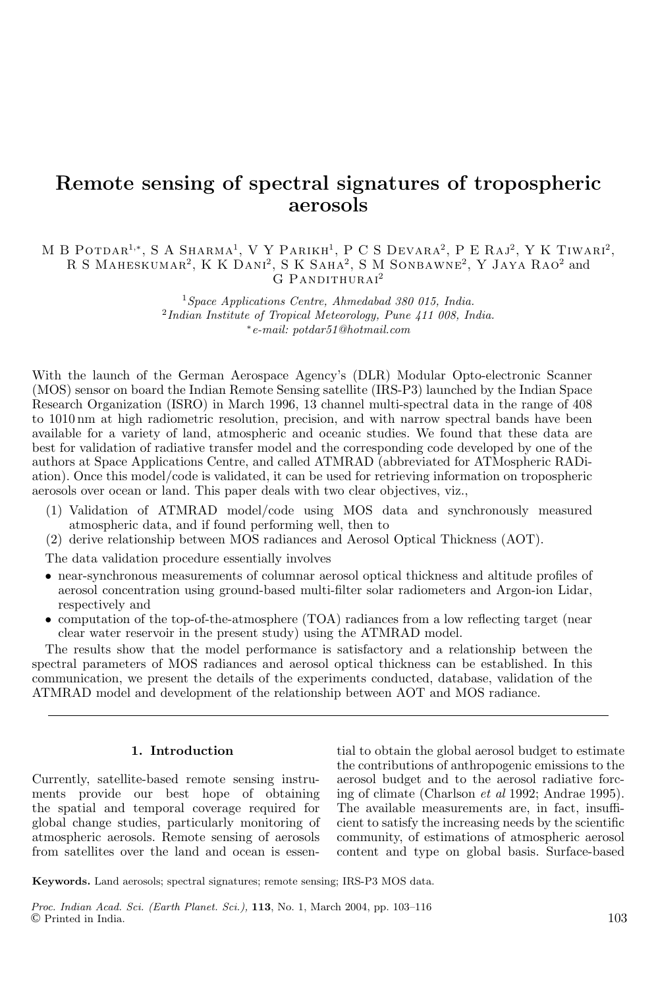# **Remote sensing of spectral signatures of tropospheric aerosols**

# M B POTDAR<sup>1,\*</sup>, S A SHARMA<sup>1</sup>, V Y PARIKH<sup>1</sup>, P C S DEVARA<sup>2</sup>, P E RAJ<sup>2</sup>, Y K TIWARI<sup>2</sup>, R S Maheskumar<sup>2</sup>, K K Dani<sup>2</sup>, S K Saha<sup>2</sup>, S M Sonbawne<sup>2</sup>, Y Jaya Rao<sup>2</sup> and G PANDITHURAI<sup>2</sup>

 $1$  Space Applications Centre, Ahmedabad 380 015, India.  $^{2}$ Indian Institute of Tropical Meteorology, Pune  $411$  008, India. <sup>∗</sup>e-mail: potdar51@hotmail.com

With the launch of the German Aerospace Agency's (DLR) Modular Opto-electronic Scanner (MOS) sensor on board the Indian Remote Sensing satellite (IRS-P3) launched by the Indian Space Research Organization (ISRO) in March 1996, 13 channel multi-spectral data in the range of 408 to 1010 nm at high radiometric resolution, precision, and with narrow spectral bands have been available for a variety of land, atmospheric and oceanic studies. We found that these data are best for validation of radiative transfer model and the corresponding code developed by one of the authors at Space Applications Centre, and called ATMRAD (abbreviated for ATMospheric RADiation). Once this model/code is validated, it can be used for retrieving information on tropospheric aerosols over ocean or land. This paper deals with two clear objectives, viz.,

- (1) Validation of ATMRAD model/code using MOS data and synchronously measured atmospheric data, and if found performing well, then to
- (2) derive relationship between MOS radiances and Aerosol Optical Thickness (AOT).

The data validation procedure essentially involves

- near-synchronous measurements of columnar aerosol optical thickness and altitude profiles of aerosol concentration using ground-based multi-filter solar radiometers and Argon-ion Lidar, respectively and
- computation of the top-of-the-atmosphere (TOA) radiances from a low reflecting target (near clear water reservoir in the present study) using the ATMRAD model.

The results show that the model performance is satisfactory and a relationship between the spectral parameters of MOS radiances and aerosol optical thickness can be established. In this communication, we present the details of the experiments conducted, database, validation of the ATMRAD model and development of the relationship between AOT and MOS radiance.

### **1. Introduction**

Currently, satellite-based remote sensing instruments provide our best hope of obtaining the spatial and temporal coverage required for global change studies, particularly monitoring of atmospheric aerosols. Remote sensing of aerosols from satellites over the land and ocean is essential to obtain the global aerosol budget to estimate the contributions of anthropogenic emissions to the aerosol budget and to the aerosol radiative forcing of climate (Charlson et al 1992; Andrae 1995). The available measurements are, in fact, insufficient to satisfy the increasing needs by the scientific community, of estimations of atmospheric aerosol content and type on global basis. Surface-based

**Keywords.** Land aerosols; spectral signatures; remote sensing; IRS-P3 MOS data.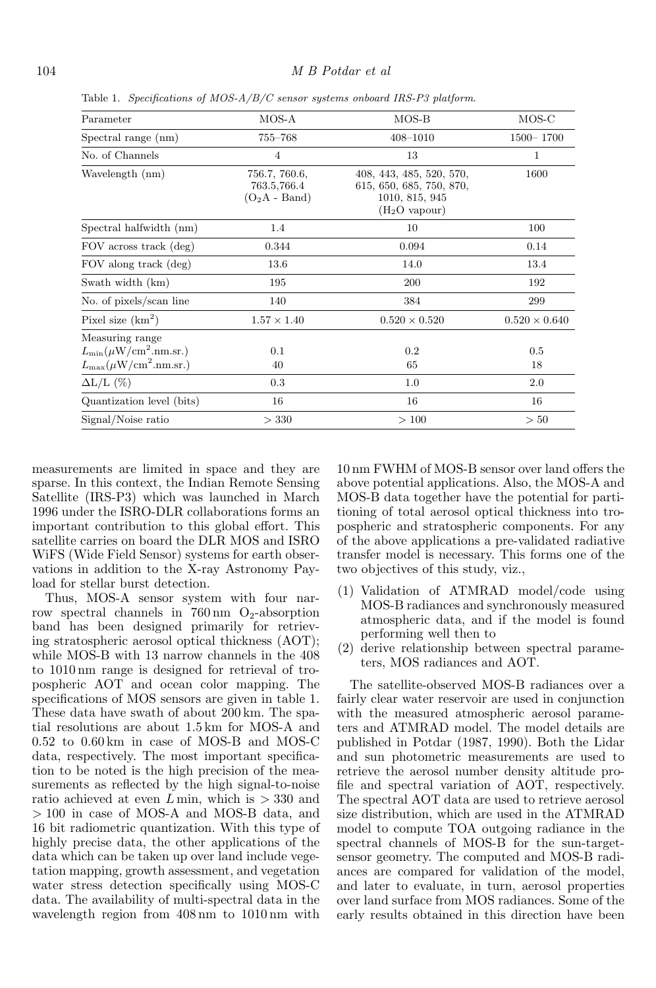| Parameter                                                                                     | MOS-A                                           | $MOS-B$                                                                                             | MOS-C                |  |
|-----------------------------------------------------------------------------------------------|-------------------------------------------------|-----------------------------------------------------------------------------------------------------|----------------------|--|
| Spectral range (nm)                                                                           | 755–768                                         | $408 - 1010$                                                                                        | $1500 - 1700$        |  |
| No. of Channels                                                                               | 4                                               | 13                                                                                                  | 1                    |  |
| Wavelength (nm)                                                                               | 756.7, 760.6,<br>763.5,766.4<br>$(O_2A - Band)$ | 408, 443, 485, 520, 570,<br>615, 650, 685, 750, 870,<br>1010, 815, 945<br>(H <sub>2</sub> O vapour) | 1600                 |  |
| Spectral halfwidth (nm)                                                                       | 1.4                                             | 10                                                                                                  | 100                  |  |
| FOV across track (deg)                                                                        | 0.344                                           | 0.094                                                                                               | 0.14                 |  |
| FOV along track (deg)                                                                         | 13.6                                            | 14.0                                                                                                | 13.4                 |  |
| Swath width (km)                                                                              | 195                                             | 200                                                                                                 | 192                  |  |
| No. of pixels/scan line                                                                       | 140                                             | 384                                                                                                 | 299                  |  |
| Pixel size $(km^2)$                                                                           | $1.57 \times 1.40$                              | $0.520 \times 0.520$                                                                                | $0.520 \times 0.640$ |  |
| Measuring range<br>$L_{\rm min}(\mu W/cm^2.nm.sr.)$<br>$L_{\rm max}(\mu{\rm W/cm}^2.$ nm.sr.) | 0.1<br>40                                       | 0.2<br>65                                                                                           | 0.5<br>18            |  |
| $\Delta L/L$ (%)                                                                              | 0.3                                             | 1.0                                                                                                 | 2.0                  |  |
| Quantization level (bits)                                                                     | 16                                              | 16                                                                                                  | 16                   |  |
| Signal/Noise ratio                                                                            | > 330                                           | >100                                                                                                | > 50                 |  |
|                                                                                               |                                                 |                                                                                                     |                      |  |

Table 1. Specifications of MOS- $A/B/C$  sensor systems onboard IRS-P3 platform.

measurements are limited in space and they are sparse. In this context, the Indian Remote Sensing Satellite (IRS-P3) which was launched in March 1996 under the ISRO-DLR collaborations forms an important contribution to this global effort. This satellite carries on board the DLR MOS and ISRO WiFS (Wide Field Sensor) systems for earth observations in addition to the X-ray Astronomy Payload for stellar burst detection.

Thus, MOS-A sensor system with four narrow spectral channels in  $760 \text{ nm}$  O<sub>2</sub>-absorption band has been designed primarily for retrieving stratospheric aerosol optical thickness (AOT); while MOS-B with 13 narrow channels in the 408 to 1010 nm range is designed for retrieval of tropospheric AOT and ocean color mapping. The specifications of MOS sensors are given in table 1. These data have swath of about 200 km. The spatial resolutions are about 1.5 km for MOS-A and 0.52 to 0.60 km in case of MOS-B and MOS-C data, respectively. The most important specification to be noted is the high precision of the measurements as reflected by the high signal-to-noise ratio achieved at even  $L$  min, which is  $>$  330 and > 100 in case of MOS-A and MOS-B data, and 16 bit radiometric quantization. With this type of highly precise data, the other applications of the data which can be taken up over land include vegetation mapping, growth assessment, and vegetation water stress detection specifically using MOS-C data. The availability of multi-spectral data in the wavelength region from 408 nm to 1010 nm with 10 nm FWHM of MOS-B sensor over land offers the above potential applications. Also, the MOS-A and MOS-B data together have the potential for partitioning of total aerosol optical thickness into tropospheric and stratospheric components. For any of the above applications a pre-validated radiative transfer model is necessary. This forms one of the two objectives of this study, viz.,

- (1) Validation of ATMRAD model/code using MOS-B radiances and synchronously measured atmospheric data, and if the model is found performing well then to
- (2) derive relationship between spectral parameters, MOS radiances and AOT.

The satellite-observed MOS-B radiances over a fairly clear water reservoir are used in conjunction with the measured atmospheric aerosol parameters and ATMRAD model. The model details are published in Potdar (1987, 1990). Both the Lidar and sun photometric measurements are used to retrieve the aerosol number density altitude profile and spectral variation of AOT, respectively. The spectral AOT data are used to retrieve aerosol size distribution, which are used in the ATMRAD model to compute TOA outgoing radiance in the spectral channels of MOS-B for the sun-targetsensor geometry. The computed and MOS-B radiances are compared for validation of the model, and later to evaluate, in turn, aerosol properties over land surface from MOS radiances. Some of the early results obtained in this direction have been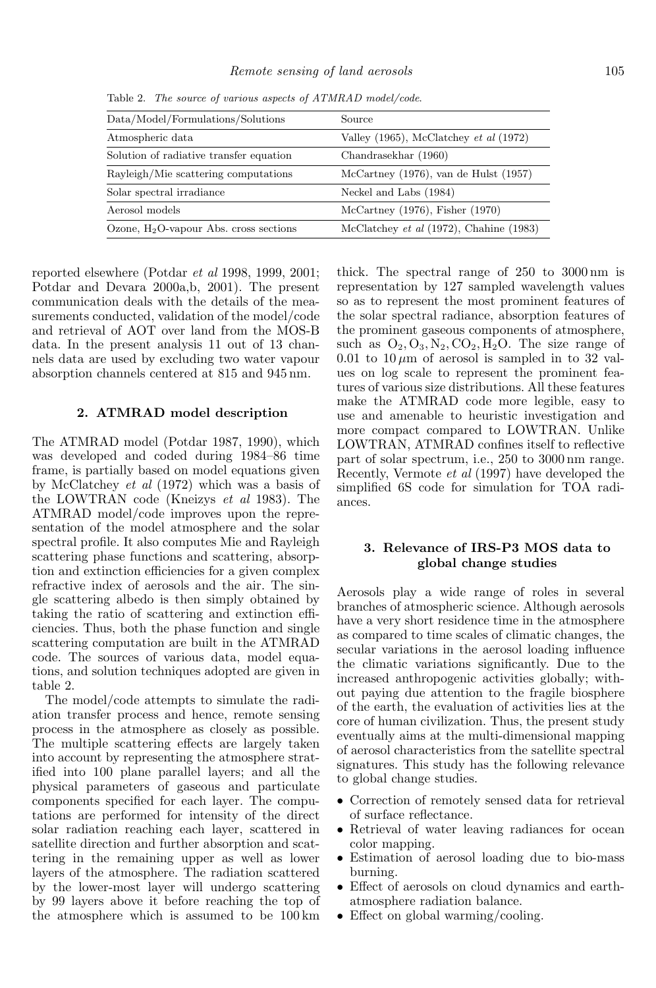| Data/Model/Formulations/Solutions         | Source                                             |
|-------------------------------------------|----------------------------------------------------|
| Atmospheric data                          | Valley $(1965)$ , McClatchey <i>et al</i> $(1972)$ |
| Solution of radiative transfer equation   | Chandrasekhar (1960)                               |
| Rayleigh/Mie scattering computations      | McCartney $(1976)$ , van de Hulst $(1957)$         |
| Solar spectral irradiance                 | Neckel and Labs (1984)                             |
| Aerosol models                            | McCartney $(1976)$ , Fisher $(1970)$               |
| Ozone, $H_2O$ -vapour Abs. cross sections | McClatchey <i>et al</i> (1972), Chahine (1983)     |

Table 2. The source of various aspects of ATMRAD model/code.

reported elsewhere (Potdar et al 1998, 1999, 2001; Potdar and Devara 2000a,b, 2001). The present communication deals with the details of the measurements conducted, validation of the model/code and retrieval of AOT over land from the MOS-B data. In the present analysis 11 out of 13 channels data are used by excluding two water vapour absorption channels centered at 815 and 945 nm.

#### **2. ATMRAD model description**

The ATMRAD model (Potdar 1987, 1990), which was developed and coded during 1984–86 time frame, is partially based on model equations given by McClatchey et al (1972) which was a basis of the LOWTRAN code (Kneizys et al 1983). The ATMRAD model/code improves upon the representation of the model atmosphere and the solar spectral profile. It also computes Mie and Rayleigh scattering phase functions and scattering, absorption and extinction efficiencies for a given complex refractive index of aerosols and the air. The single scattering albedo is then simply obtained by taking the ratio of scattering and extinction efficiencies. Thus, both the phase function and single scattering computation are built in the ATMRAD code. The sources of various data, model equations, and solution techniques adopted are given in table 2.

The model/code attempts to simulate the radiation transfer process and hence, remote sensing process in the atmosphere as closely as possible. The multiple scattering effects are largely taken into account by representing the atmosphere stratified into 100 plane parallel layers; and all the physical parameters of gaseous and particulate components specified for each layer. The computations are performed for intensity of the direct solar radiation reaching each layer, scattered in satellite direction and further absorption and scattering in the remaining upper as well as lower layers of the atmosphere. The radiation scattered by the lower-most layer will undergo scattering by 99 layers above it before reaching the top of the atmosphere which is assumed to be 100 km

thick. The spectral range of 250 to 3000 nm is representation by 127 sampled wavelength values so as to represent the most prominent features of the solar spectral radiance, absorption features of the prominent gaseous components of atmosphere, such as  $O_2$ ,  $O_3$ ,  $N_2$ ,  $CO_2$ ,  $H_2O$ . The size range of 0.01 to  $10 \mu m$  of aerosol is sampled in to 32 values on log scale to represent the prominent features of various size distributions. All these features make the ATMRAD code more legible, easy to use and amenable to heuristic investigation and more compact compared to LOWTRAN. Unlike LOWTRAN, ATMRAD confines itself to reflective part of solar spectrum, i.e., 250 to 3000 nm range. Recently, Vermote et al (1997) have developed the simplified 6S code for simulation for TOA radiances.

# **3. Relevance of IRS-P3 MOS data to global change studies**

Aerosols play a wide range of roles in several branches of atmospheric science. Although aerosols have a very short residence time in the atmosphere as compared to time scales of climatic changes, the secular variations in the aerosol loading influence the climatic variations significantly. Due to the increased anthropogenic activities globally; without paying due attention to the fragile biosphere of the earth, the evaluation of activities lies at the core of human civilization. Thus, the present study eventually aims at the multi-dimensional mapping of aerosol characteristics from the satellite spectral signatures. This study has the following relevance to global change studies.

- Correction of remotely sensed data for retrieval of surface reflectance.
- Retrieval of water leaving radiances for ocean color mapping.
- Estimation of aerosol loading due to bio-mass burning.
- Effect of aerosols on cloud dynamics and earthatmosphere radiation balance.
- Effect on global warming/cooling.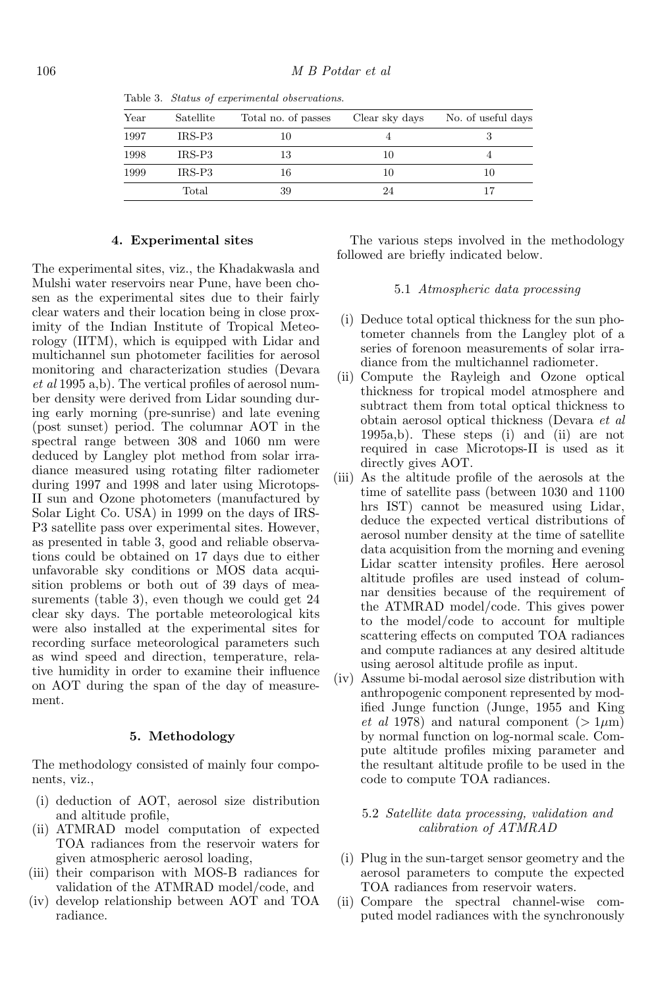| Year | Satellite          | Total no. of passes | Clear sky days | No. of useful days |
|------|--------------------|---------------------|----------------|--------------------|
| 1997 | $IRS-P3$           | 10                  |                |                    |
| 1998 | IRS-P <sub>3</sub> | 13                  | 10             |                    |
| 1999 | IRS-P <sub>3</sub> | 16                  | 10             | 10                 |
|      | Total              | 39                  | 24             |                    |
|      |                    |                     |                |                    |

Table 3. Status of experimental observations.

#### **4. Experimental sites**

The experimental sites, viz., the Khadakwasla and Mulshi water reservoirs near Pune, have been chosen as the experimental sites due to their fairly clear waters and their location being in close proximity of the Indian Institute of Tropical Meteorology (IITM), which is equipped with Lidar and multichannel sun photometer facilities for aerosol monitoring and characterization studies (Devara et al 1995 a,b). The vertical profiles of aerosol number density were derived from Lidar sounding during early morning (pre-sunrise) and late evening (post sunset) period. The columnar AOT in the spectral range between 308 and 1060 nm were deduced by Langley plot method from solar irradiance measured using rotating filter radiometer during 1997 and 1998 and later using Microtops-II sun and Ozone photometers (manufactured by Solar Light Co. USA) in 1999 on the days of IRS-P3 satellite pass over experimental sites. However, as presented in table 3, good and reliable observations could be obtained on 17 days due to either unfavorable sky conditions or MOS data acquisition problems or both out of 39 days of measurements (table 3), even though we could get 24 clear sky days. The portable meteorological kits were also installed at the experimental sites for recording surface meteorological parameters such as wind speed and direction, temperature, relative humidity in order to examine their influence on AOT during the span of the day of measurement.

#### **5. Methodology**

The methodology consisted of mainly four components, viz.,

- (i) deduction of AOT, aerosol size distribution and altitude profile,
- (ii) ATMRAD model computation of expected TOA radiances from the reservoir waters for given atmospheric aerosol loading,
- (iii) their comparison with MOS-B radiances for validation of the ATMRAD model/code, and
- (iv) develop relationship between AOT and TOA radiance.

The various steps involved in the methodology followed are briefly indicated below.

### 5.1 Atmospheric data processing

- (i) Deduce total optical thickness for the sun photometer channels from the Langley plot of a series of forenoon measurements of solar irradiance from the multichannel radiometer.
- (ii) Compute the Rayleigh and Ozone optical thickness for tropical model atmosphere and subtract them from total optical thickness to obtain aerosol optical thickness (Devara et al 1995a,b). These steps (i) and (ii) are not required in case Microtops-II is used as it directly gives AOT.
- (iii) As the altitude profile of the aerosols at the time of satellite pass (between 1030 and 1100 hrs IST) cannot be measured using Lidar, deduce the expected vertical distributions of aerosol number density at the time of satellite data acquisition from the morning and evening Lidar scatter intensity profiles. Here aerosol altitude profiles are used instead of columnar densities because of the requirement of the ATMRAD model/code. This gives power to the model/code to account for multiple scattering effects on computed TOA radiances and compute radiances at any desired altitude using aerosol altitude profile as input.
- (iv) Assume bi-modal aerosol size distribution with anthropogenic component represented by modified Junge function (Junge, 1955 and King *et al* 1978) and natural component ( $> 1 \mu m$ ) by normal function on log-normal scale. Compute altitude profiles mixing parameter and the resultant altitude profile to be used in the code to compute TOA radiances.

# 5.2 Satellite data processing, validation and calibration of ATMRAD

- (i) Plug in the sun-target sensor geometry and the aerosol parameters to compute the expected TOA radiances from reservoir waters.
- (ii) Compare the spectral channel-wise computed model radiances with the synchronously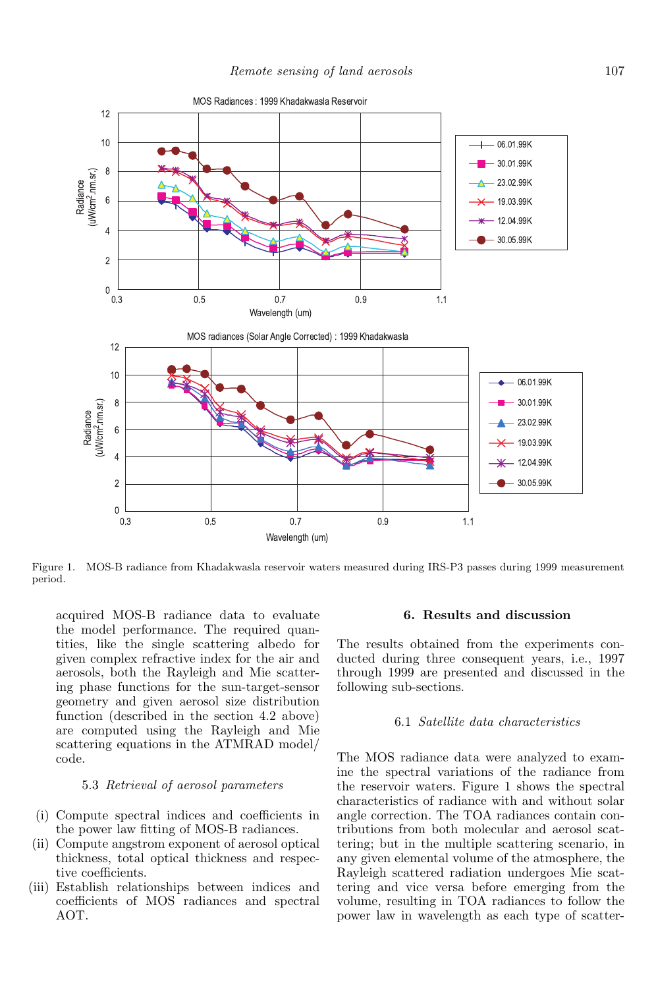

Figure 1. MOS-B radiance from Khadakwasla reservoir waters measured during IRS-P3 passes during 1999 measurement period.

acquired MOS-B radiance data to evaluate the model performance. The required quantities, like the single scattering albedo for given complex refractive index for the air and aerosols, both the Rayleigh and Mie scattering phase functions for the sun-target-sensor geometry and given aerosol size distribution function (described in the section 4.2 above) are computed using the Rayleigh and Mie scattering equations in the ATMRAD model/ code.

# 5.3 Retrieval of aerosol parameters

- (i) Compute spectral indices and coefficients in the power law fitting of MOS-B radiances.
- (ii) Compute angstrom exponent of aerosol optical thickness, total optical thickness and respective coefficients.
- (iii) Establish relationships between indices and coefficients of MOS radiances and spectral AOT.

# **6. Results and discussion**

The results obtained from the experiments conducted during three consequent years, i.e., 1997 through 1999 are presented and discussed in the following sub-sections.

# 6.1 Satellite data characteristics

The MOS radiance data were analyzed to examine the spectral variations of the radiance from the reservoir waters. Figure 1 shows the spectral characteristics of radiance with and without solar angle correction. The TOA radiances contain contributions from both molecular and aerosol scattering; but in the multiple scattering scenario, in any given elemental volume of the atmosphere, the Rayleigh scattered radiation undergoes Mie scattering and vice versa before emerging from the volume, resulting in TOA radiances to follow the power law in wavelength as each type of scatter-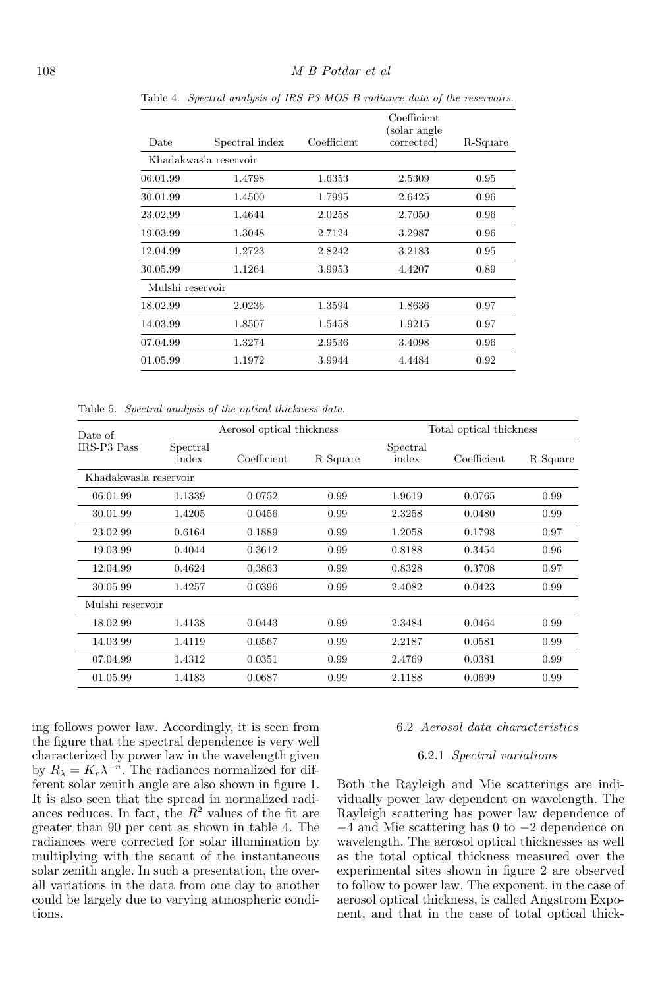| Date             | Spectral index        | Coefficient | Coefficient<br>(solar angle)<br>corrected) | R-Square |
|------------------|-----------------------|-------------|--------------------------------------------|----------|
|                  | Khadakwasla reservoir |             |                                            |          |
| 06.01.99         | 1.4798                | 1.6353      | 2.5309                                     | 0.95     |
| 30.01.99         | 1.4500                | 1.7995      | 2.6425                                     | 0.96     |
| 23.02.99         | 1.4644                | 2.0258      | 2.7050                                     | 0.96     |
| 19.03.99         | 1.3048                | 2.7124      | 3.2987                                     | 0.96     |
| 12.04.99         | 1.2723                | 2.8242      | 3.2183                                     | 0.95     |
| 30.05.99         | 1.1264                | 3.9953      | 4.4207                                     | 0.89     |
| Mulshi reservoir |                       |             |                                            |          |
| 18.02.99         | 2.0236                | 1.3594      | 1.8636                                     | 0.97     |
| 14.03.99         | 1.8507                | 1.5458      | 1.9215                                     | 0.97     |
| 07.04.99         | 1.3274                | 2.9536      | 3.4098                                     | 0.96     |
| 01.05.99         | 1.1972                | 3.9944      | 4.4484                                     | 0.92     |

Table 4. Spectral analysis of IRS-P3 MOS-B radiance data of the reservoirs.

Table 5. Spectral analysis of the optical thickness data.

| Date of               | Aerosol optical thickness |             |          | Total optical thickness |             |          |  |
|-----------------------|---------------------------|-------------|----------|-------------------------|-------------|----------|--|
| <b>IRS-P3 Pass</b>    | Spectral<br>index         | Coefficient | R-Square | Spectral<br>index       | Coefficient | R-Square |  |
| Khadakwasla reservoir |                           |             |          |                         |             |          |  |
| 06.01.99              | 1.1339                    | 0.0752      | 0.99     | 1.9619                  | 0.0765      | 0.99     |  |
| 30.01.99              | 1.4205                    | 0.0456      | 0.99     | 2.3258                  | 0.0480      | 0.99     |  |
| 23.02.99              | 0.6164                    | 0.1889      | 0.99     | 1.2058                  | 0.1798      | 0.97     |  |
| 19.03.99              | 0.4044                    | 0.3612      | 0.99     | 0.8188                  | 0.3454      | 0.96     |  |
| 12.04.99              | 0.4624                    | 0.3863      | 0.99     | 0.8328                  | 0.3708      | 0.97     |  |
| 30.05.99              | 1.4257                    | 0.0396      | 0.99     | 2.4082                  | 0.0423      | 0.99     |  |
| Mulshi reservoir      |                           |             |          |                         |             |          |  |
| 18.02.99              | 1.4138                    | 0.0443      | 0.99     | 2.3484                  | 0.0464      | 0.99     |  |
| 14.03.99              | 1.4119                    | 0.0567      | 0.99     | 2.2187                  | 0.0581      | 0.99     |  |
| 07.04.99              | 1.4312                    | 0.0351      | 0.99     | 2.4769                  | 0.0381      | 0.99     |  |
| 01.05.99              | 1.4183                    | 0.0687      | 0.99     | 2.1188                  | 0.0699      | 0.99     |  |

ing follows power law. Accordingly, it is seen from the figure that the spectral dependence is very well characterized by power law in the wavelength given by  $R_{\lambda} = K_r \lambda^{-n}$ . The radiances normalized for different solar zenith angle are also shown in figure 1. It is also seen that the spread in normalized radiances reduces. In fact, the  $R^2$  values of the fit are greater than 90 per cent as shown in table 4. The radiances were corrected for solar illumination by multiplying with the secant of the instantaneous solar zenith angle. In such a presentation, the overall variations in the data from one day to another could be largely due to varying atmospheric conditions.

### 6.2 Aerosol data characteristics

### 6.2.1 Spectral variations

Both the Rayleigh and Mie scatterings are individually power law dependent on wavelength. The Rayleigh scattering has power law dependence of −4 and Mie scattering has 0 to −2 dependence on wavelength. The aerosol optical thicknesses as well as the total optical thickness measured over the experimental sites shown in figure 2 are observed to follow to power law. The exponent, in the case of aerosol optical thickness, is called Angstrom Exponent, and that in the case of total optical thick-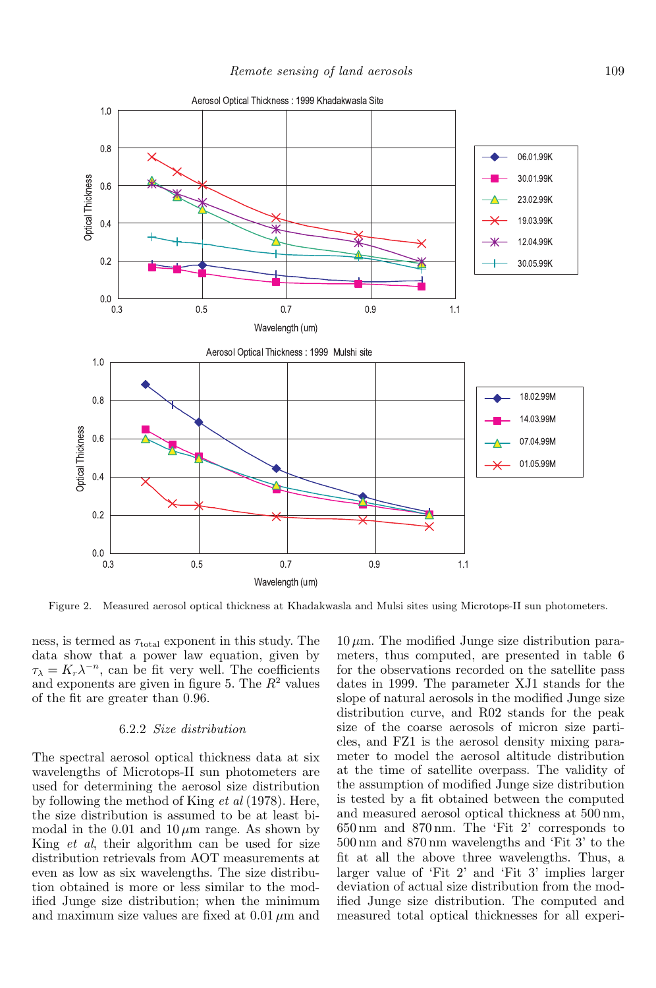

Figure 2. Measured aerosol optical thickness at Khadakwasla and Mulsi sites using Microtops-II sun photometers.

ness, is termed as  $\tau_{\text{total}}$  exponent in this study. The data show that a power law equation, given by  $\tau_{\lambda} = K_r \lambda^{-n}$ , can be fit very well. The coefficients and exponents are given in figure 5. The  $R^2$  values of the fit are greater than 0.96.

### 6.2.2 Size distribution

The spectral aerosol optical thickness data at six wavelengths of Microtops-II sun photometers are used for determining the aerosol size distribution by following the method of King et al (1978). Here, the size distribution is assumed to be at least bimodal in the 0.01 and  $10 \mu m$  range. As shown by King et al, their algorithm can be used for size distribution retrievals from AOT measurements at even as low as six wavelengths. The size distribution obtained is more or less similar to the modified Junge size distribution; when the minimum and maximum size values are fixed at  $0.01 \mu m$  and

 $10 \,\mu$ m. The modified Junge size distribution parameters, thus computed, are presented in table 6 for the observations recorded on the satellite pass dates in 1999. The parameter XJ1 stands for the slope of natural aerosols in the modified Junge size distribution curve, and R02 stands for the peak size of the coarse aerosols of micron size particles, and FZ1 is the aerosol density mixing parameter to model the aerosol altitude distribution at the time of satellite overpass. The validity of the assumption of modified Junge size distribution is tested by a fit obtained between the computed and measured aerosol optical thickness at 500 nm, 650 nm and 870 nm. The 'Fit 2' corresponds to 500 nm and 870 nm wavelengths and 'Fit 3' to the fit at all the above three wavelengths. Thus, a larger value of 'Fit 2' and 'Fit 3' implies larger deviation of actual size distribution from the modified Junge size distribution. The computed and measured total optical thicknesses for all experi-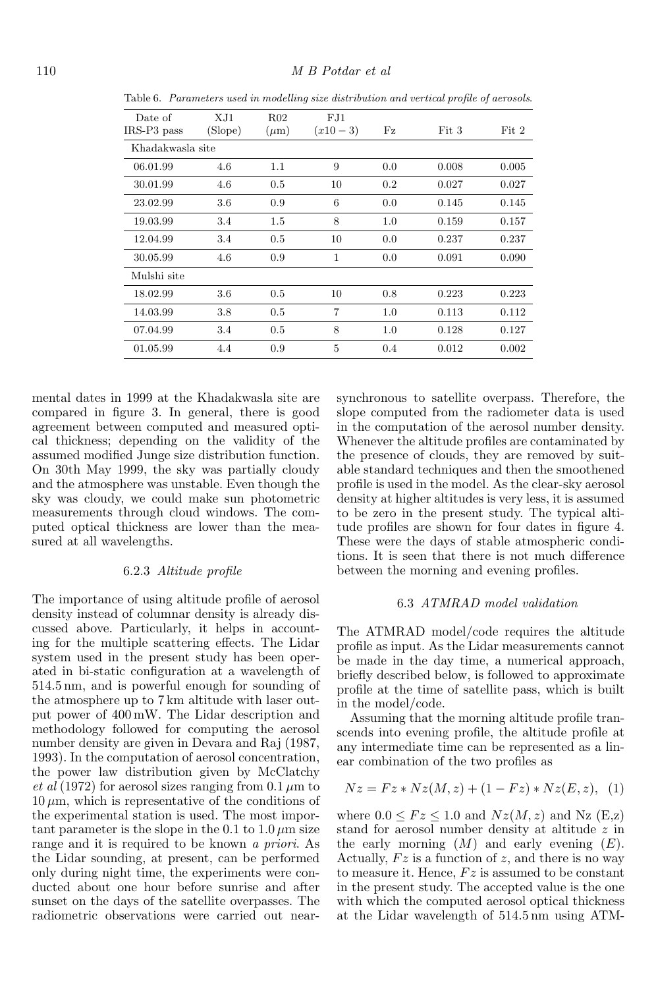| Date of          | XJ1<br>(Slope) | R02       | FJ1            |     |       |       |
|------------------|----------------|-----------|----------------|-----|-------|-------|
| IRS-P3 pass      |                | $(\mu m)$ | $(x10-3)$      | Fz  | Fit 3 | Fit 2 |
| Khadakwasla site |                |           |                |     |       |       |
| 06.01.99         | 4.6            | 1.1       | 9              | 0.0 | 0.008 | 0.005 |
| 30.01.99         | 4.6            | 0.5       | 10             | 0.2 | 0.027 | 0.027 |
| 23.02.99         | 3.6            | 0.9       | 6              | 0.0 | 0.145 | 0.145 |
| 19.03.99         | 3.4            | 1.5       | 8              | 1.0 | 0.159 | 0.157 |
| 12.04.99         | 3.4            | 0.5       | 10             | 0.0 | 0.237 | 0.237 |
| 30.05.99         | 4.6            | 0.9       | $\mathbf{1}$   | 0.0 | 0.091 | 0.090 |
| Mulshi site      |                |           |                |     |       |       |
| 18.02.99         | 3.6            | 0.5       | 10             | 0.8 | 0.223 | 0.223 |
| 14.03.99         | 3.8            | 0.5       | $\overline{7}$ | 1.0 | 0.113 | 0.112 |
| 07.04.99         | 3.4            | 0.5       | 8              | 1.0 | 0.128 | 0.127 |
| 01.05.99         | 4.4            | 0.9       | 5              | 0.4 | 0.012 | 0.002 |

Table 6. Parameters used in modelling size distribution and vertical profile of aerosols.

mental dates in 1999 at the Khadakwasla site are compared in figure 3. In general, there is good agreement between computed and measured optical thickness; depending on the validity of the assumed modified Junge size distribution function. On 30th May 1999, the sky was partially cloudy and the atmosphere was unstable. Even though the sky was cloudy, we could make sun photometric measurements through cloud windows. The computed optical thickness are lower than the measured at all wavelengths.

## 6.2.3 Altitude profile

The importance of using altitude profile of aerosol density instead of columnar density is already discussed above. Particularly, it helps in accounting for the multiple scattering effects. The Lidar system used in the present study has been operated in bi-static configuration at a wavelength of 514.5 nm, and is powerful enough for sounding of the atmosphere up to 7 km altitude with laser output power of 400 mW. The Lidar description and methodology followed for computing the aerosol number density are given in Devara and Raj (1987, 1993). In the computation of aerosol concentration, the power law distribution given by McClatchy et al (1972) for aerosol sizes ranging from 0.1  $\mu$ m to  $10 \mu m$ , which is representative of the conditions of the experimental station is used. The most important parameter is the slope in the 0.1 to  $1.0 \mu m$  size range and it is required to be known a priori. As the Lidar sounding, at present, can be performed only during night time, the experiments were conducted about one hour before sunrise and after sunset on the days of the satellite overpasses. The radiometric observations were carried out nearsynchronous to satellite overpass. Therefore, the slope computed from the radiometer data is used in the computation of the aerosol number density. Whenever the altitude profiles are contaminated by the presence of clouds, they are removed by suitable standard techniques and then the smoothened profile is used in the model. As the clear-sky aerosol density at higher altitudes is very less, it is assumed to be zero in the present study. The typical altitude profiles are shown for four dates in figure 4. These were the days of stable atmospheric conditions. It is seen that there is not much difference between the morning and evening profiles.

### 6.3 ATMRAD model validation

The ATMRAD model/code requires the altitude profile as input. As the Lidar measurements cannot be made in the day time, a numerical approach, briefly described below, is followed to approximate profile at the time of satellite pass, which is built in the model/code.

Assuming that the morning altitude profile transcends into evening profile, the altitude profile at any intermediate time can be represented as a linear combination of the two profiles as

$$
Nz = Fz * Nz(M, z) + (1 - Fz) * Nz(E, z), (1)
$$

where  $0.0 \leq Fz \leq 1.0$  and  $Nz(M,z)$  and Nz (E,z) stand for aerosol number density at altitude z in the early morning  $(M)$  and early evening  $(E)$ . Actually,  $Fz$  is a function of z, and there is no way to measure it. Hence,  $Fz$  is assumed to be constant in the present study. The accepted value is the one with which the computed aerosol optical thickness at the Lidar wavelength of 514.5 nm using ATM-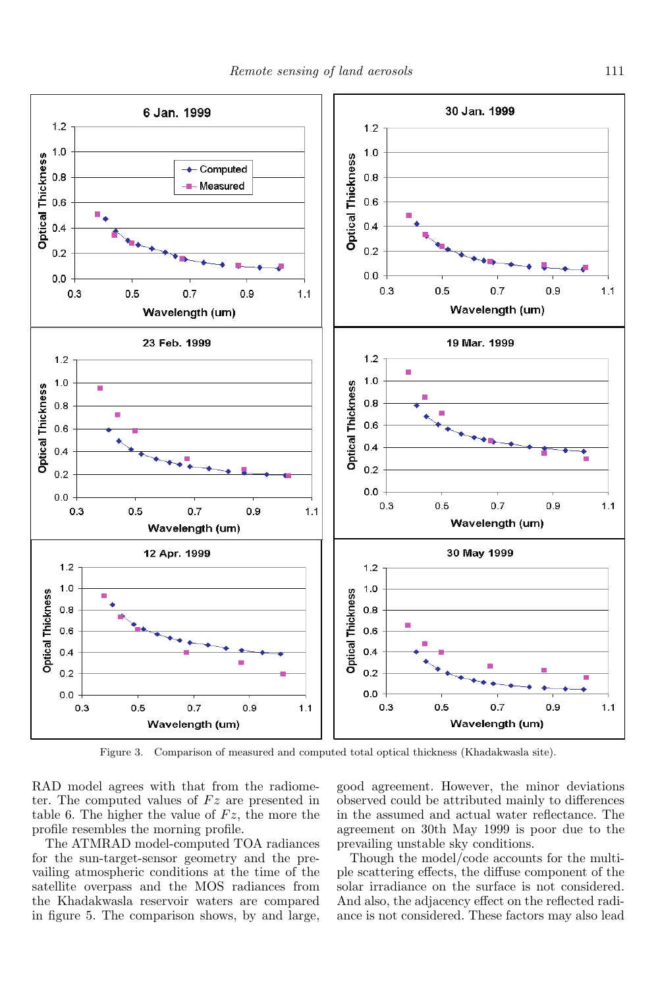

Figure 3. Comparison of measured and computed total optical thickness (Khadakwasla site).

RAD model agrees with that from the radiometer. The computed values of  $Fz$  are presented in table 6. The higher the value of  $Fz$ , the more the profile resembles the morning profile.

The ATMRAD model-computed TOA radiances for the sun-target-sensor geometry and the prevailing atmospheric conditions at the time of the satellite overpass and the MOS radiances from the Khadakwasla reservoir waters are compared in figure 5. The comparison shows, by and large,

good agreement. However, the minor deviations observed could be attributed mainly to differences in the assumed and actual water reflectance. The agreement on 30th May 1999 is poor due to the prevailing unstable sky conditions.

Though the model/code accounts for the multiple scattering effects, the diffuse component of the solar irradiance on the surface is not considered. And also, the adjacency effect on the reflected radiance is not considered. These factors may also lead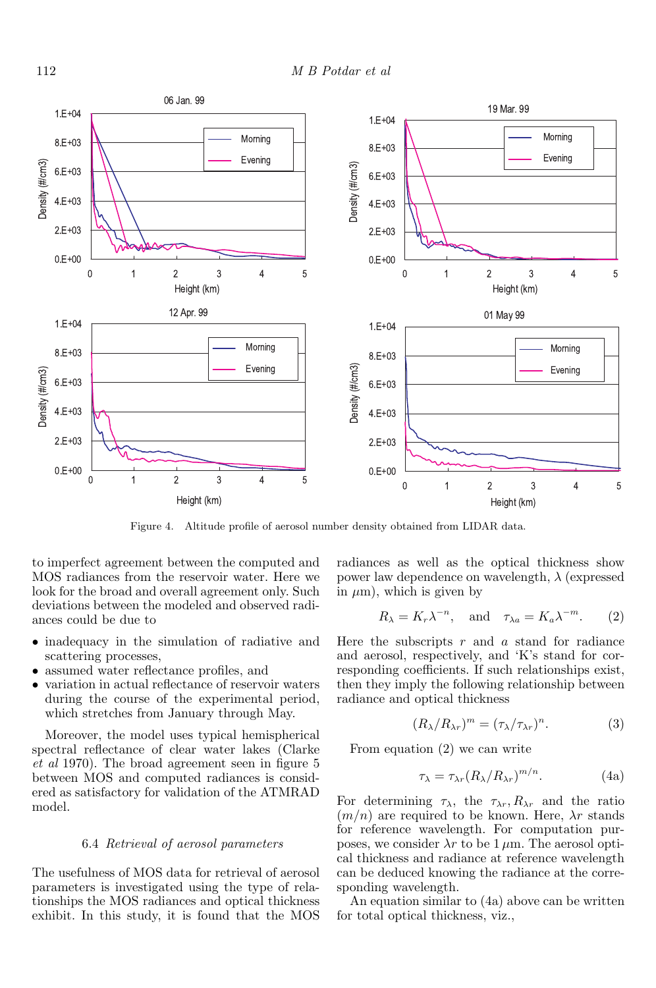

Figure 4. Altitude profile of aerosol number density obtained from LIDAR data.

to imperfect agreement between the computed and MOS radiances from the reservoir water. Here we look for the broad and overall agreement only. Such deviations between the modeled and observed radiances could be due to

- inadequacy in the simulation of radiative and scattering processes,
- assumed water reflectance profiles, and
- variation in actual reflectance of reservoir waters during the course of the experimental period, which stretches from January through May.

Moreover, the model uses typical hemispherical spectral reflectance of clear water lakes (Clarke et al 1970). The broad agreement seen in figure 5 between MOS and computed radiances is considered as satisfactory for validation of the ATMRAD model.

### 6.4 Retrieval of aerosol parameters

The usefulness of MOS data for retrieval of aerosol parameters is investigated using the type of relationships the MOS radiances and optical thickness exhibit. In this study, it is found that the MOS radiances as well as the optical thickness show power law dependence on wavelength,  $\lambda$  (expressed in  $\mu$ m), which is given by

$$
R_{\lambda} = K_r \lambda^{-n}
$$
, and  $\tau_{\lambda a} = K_a \lambda^{-m}$ . (2)

Here the subscripts  $r$  and  $a$  stand for radiance and aerosol, respectively, and 'K's stand for corresponding coefficients. If such relationships exist, then they imply the following relationship between radiance and optical thickness

$$
(R_{\lambda}/R_{\lambda r})^m = (\tau_{\lambda}/\tau_{\lambda r})^n.
$$
 (3)

From equation (2) we can write

$$
\tau_{\lambda} = \tau_{\lambda r} (R_{\lambda}/R_{\lambda r})^{m/n}.
$$
 (4a)

For determining  $\tau_{\lambda}$ , the  $\tau_{\lambda r}$ ,  $R_{\lambda r}$  and the ratio  $(m/n)$  are required to be known. Here,  $\lambda r$  stands for reference wavelength. For computation purposes, we consider  $\lambda r$  to be 1  $\mu$ m. The aerosol optical thickness and radiance at reference wavelength can be deduced knowing the radiance at the corresponding wavelength.

An equation similar to (4a) above can be written for total optical thickness, viz.,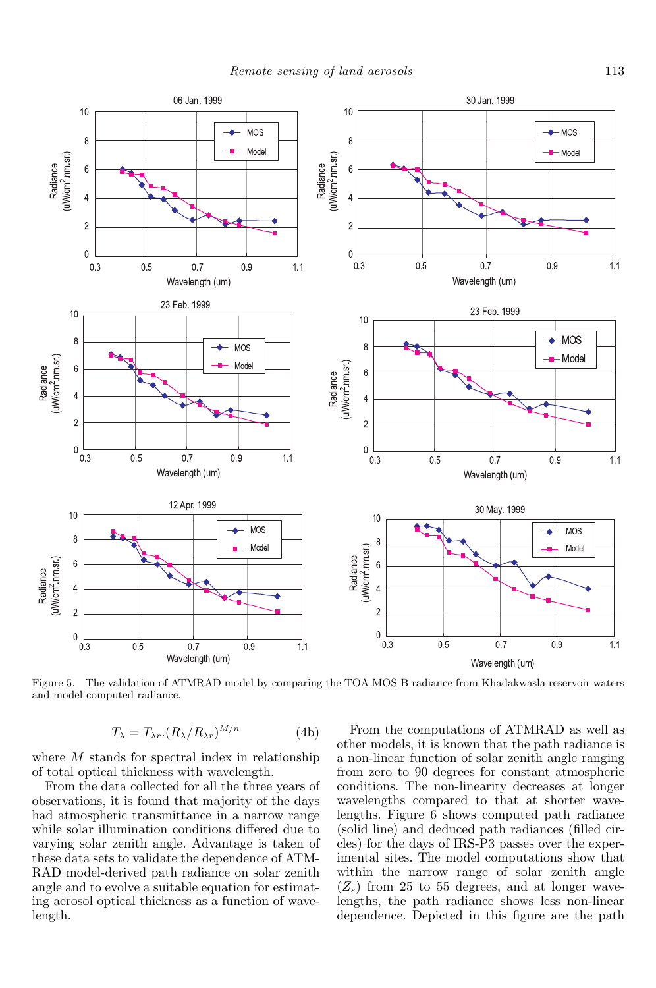

Figure 5. The validation of ATMRAD model by comparing the TOA MOS-B radiance from Khadakwasla reservoir waters and model computed radiance.

$$
T_{\lambda} = T_{\lambda r} \cdot (R_{\lambda}/R_{\lambda r})^{M/n} \tag{4b}
$$

where  $M$  stands for spectral index in relationship of total optical thickness with wavelength.

From the data collected for all the three years of observations, it is found that majority of the days had atmospheric transmittance in a narrow range while solar illumination conditions differed due to varying solar zenith angle. Advantage is taken of these data sets to validate the dependence of ATM-RAD model-derived path radiance on solar zenith angle and to evolve a suitable equation for estimating aerosol optical thickness as a function of wavelength.

From the computations of ATMRAD as well as other models, it is known that the path radiance is a non-linear function of solar zenith angle ranging from zero to 90 degrees for constant atmospheric conditions. The non-linearity decreases at longer wavelengths compared to that at shorter wavelengths. Figure 6 shows computed path radiance (solid line) and deduced path radiances (filled circles) for the days of IRS-P3 passes over the experimental sites. The model computations show that within the narrow range of solar zenith angle  $(Z_s)$  from 25 to 55 degrees, and at longer wavelengths, the path radiance shows less non-linear dependence. Depicted in this figure are the path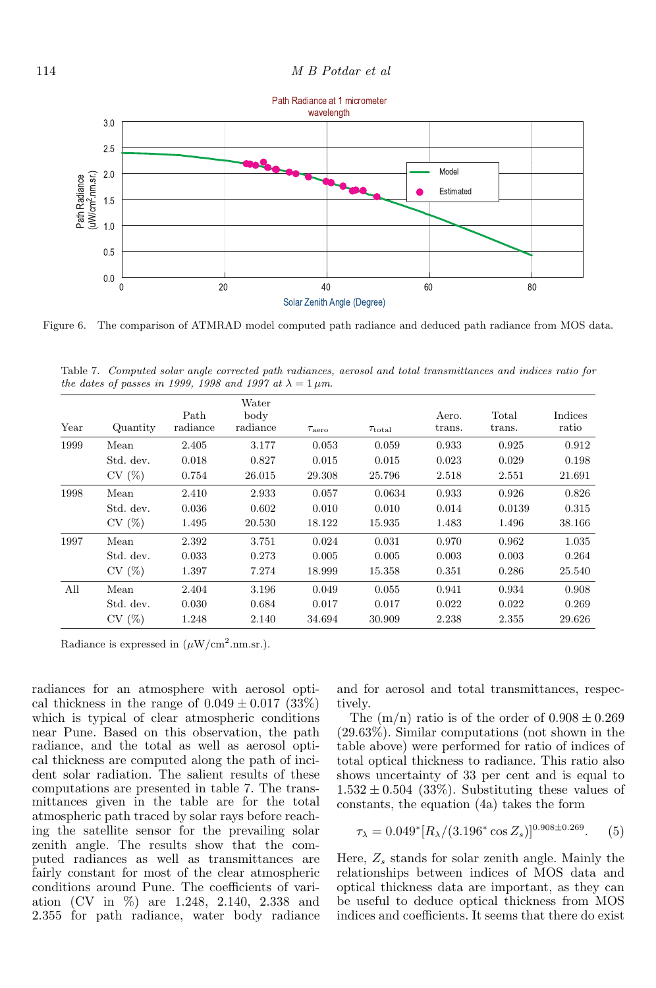

Figure 6. The comparison of ATMRAD model computed path radiance and deduced path radiance from MOS data.

Table 7. Computed solar angle corrected path radiances, aerosol and total transmittances and indices ratio for the dates of passes in 1999, 1998 and 1997 at  $\lambda = 1 \mu m$ .

| Year | Quantity  | Path<br>radiance | Water<br>body<br>radiance | $\tau_{\rm aero}$ | $\tau_{\rm total}$ | Aero.<br>trans. | Total<br>trans. | Indices<br>ratio |
|------|-----------|------------------|---------------------------|-------------------|--------------------|-----------------|-----------------|------------------|
| 1999 | Mean      | 2.405            | 3.177                     | 0.053             | 0.059              | 0.933           | 0.925           | 0.912            |
|      | Std. dev. | 0.018            | 0.827                     | 0.015             | 0.015              | 0.023           | 0.029           | 0.198            |
|      | CV(%)     | 0.754            | 26.015                    | 29.308            | 25.796             | 2.518           | 2.551           | 21.691           |
| 1998 | Mean      | 2.410            | 2.933                     | 0.057             | 0.0634             | 0.933           | 0.926           | 0.826            |
|      | Std. dev. | 0.036            | 0.602                     | 0.010             | 0.010              | 0.014           | 0.0139          | 0.315            |
|      | CV(%)     | 1.495            | 20.530                    | 18.122            | 15.935             | 1.483           | 1.496           | 38.166           |
| 1997 | Mean      | 2.392            | 3.751                     | 0.024             | 0.031              | 0.970           | 0.962           | 1.035            |
|      | Std. dev. | 0.033            | 0.273                     | 0.005             | 0.005              | 0.003           | 0.003           | 0.264            |
|      | CV(%)     | 1.397            | 7.274                     | 18.999            | 15.358             | 0.351           | 0.286           | 25.540           |
| All  | Mean      | 2.404            | 3.196                     | 0.049             | 0.055              | 0.941           | 0.934           | 0.908            |
|      | Std. dev. | 0.030            | 0.684                     | 0.017             | 0.017              | 0.022           | 0.022           | 0.269            |
|      | CV(%)     | 1.248            | 2.140                     | 34.694            | 30.909             | 2.238           | 2.355           | 29.626           |

Radiance is expressed in  $(\mu W/cm^2.nm.sr.)$ .

radiances for an atmosphere with aerosol optical thickness in the range of  $0.049 \pm 0.017$  (33%) which is typical of clear atmospheric conditions near Pune. Based on this observation, the path radiance, and the total as well as aerosol optical thickness are computed along the path of incident solar radiation. The salient results of these computations are presented in table 7. The transmittances given in the table are for the total atmospheric path traced by solar rays before reaching the satellite sensor for the prevailing solar zenith angle. The results show that the computed radiances as well as transmittances are fairly constant for most of the clear atmospheric conditions around Pune. The coefficients of variation (CV in %) are 1.248, 2.140, 2.338 and 2.355 for path radiance, water body radiance and for aerosol and total transmittances, respectively.

The  $(m/n)$  ratio is of the order of  $0.908 \pm 0.269$ (29.63%). Similar computations (not shown in the table above) were performed for ratio of indices of total optical thickness to radiance. This ratio also shows uncertainty of 33 per cent and is equal to  $1.532 \pm 0.504$  (33%). Substituting these values of constants, the equation (4a) takes the form

$$
\tau_{\lambda} = 0.049^* [R_{\lambda}/(3.196^* \cos Z_s)]^{0.908 \pm 0.269}.
$$
 (5)

Here,  $Z_s$  stands for solar zenith angle. Mainly the relationships between indices of MOS data and optical thickness data are important, as they can be useful to deduce optical thickness from MOS indices and coefficients. It seems that there do exist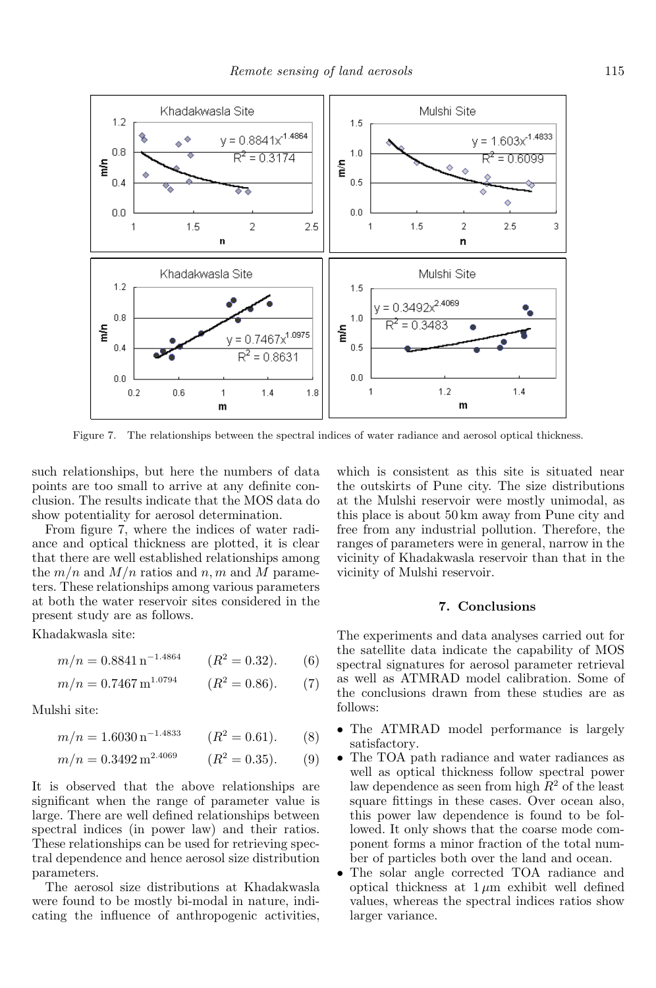

Figure 7. The relationships between the spectral indices of water radiance and aerosol optical thickness.

such relationships, but here the numbers of data points are too small to arrive at any definite conclusion. The results indicate that the MOS data do show potentiality for aerosol determination.

From figure 7, where the indices of water radiance and optical thickness are plotted, it is clear that there are well established relationships among the  $m/n$  and  $M/n$  ratios and n, m and M parameters. These relationships among various parameters at both the water reservoir sites considered in the present study are as follows.

Khadakwasla site:

$$
m/n = 0.8841 \,\mathrm{n}^{-1.4864} \qquad (R^2 = 0.32). \qquad (6)
$$

$$
m/n = 0.7467 \,\mathrm{m}^{1.0794} \qquad (R^2 = 0.86). \qquad (7)
$$

Mulshi site:

$$
m/n = 1.6030 \,\mathrm{n}^{-1.4833} \qquad (R^2 = 0.61). \qquad (8)
$$

$$
m/n = 0.3492 \,\mathrm{m}^{2.4069} \qquad (R^2 = 0.35). \qquad (9)
$$

It is observed that the above relationships are significant when the range of parameter value is large. There are well defined relationships between spectral indices (in power law) and their ratios. These relationships can be used for retrieving spectral dependence and hence aerosol size distribution parameters.

The aerosol size distributions at Khadakwasla were found to be mostly bi-modal in nature, indicating the influence of anthropogenic activities, which is consistent as this site is situated near the outskirts of Pune city. The size distributions at the Mulshi reservoir were mostly unimodal, as this place is about 50 km away from Pune city and free from any industrial pollution. Therefore, the ranges of parameters were in general, narrow in the vicinity of Khadakwasla reservoir than that in the vicinity of Mulshi reservoir.

### **7. Conclusions**

The experiments and data analyses carried out for the satellite data indicate the capability of MOS spectral signatures for aerosol parameter retrieval as well as ATMRAD model calibration. Some of the conclusions drawn from these studies are as follows:

- The ATMRAD model performance is largely satisfactory.
- The TOA path radiance and water radiances as well as optical thickness follow spectral power law dependence as seen from high  $R^2$  of the least square fittings in these cases. Over ocean also, this power law dependence is found to be followed. It only shows that the coarse mode component forms a minor fraction of the total number of particles both over the land and ocean.
- The solar angle corrected TOA radiance and optical thickness at  $1 \mu m$  exhibit well defined values, whereas the spectral indices ratios show larger variance.